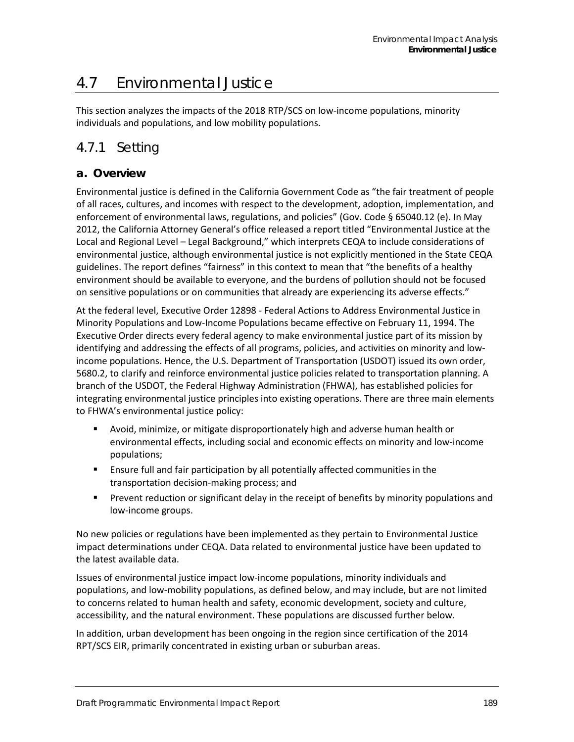# 4.7 Environmental Justice

This section analyzes the impacts of the 2018 RTP/SCS on low-income populations, minority individuals and populations, and low mobility populations.

# 4.7.1 Setting

### **a. Overview**

Environmental justice is defined in the California Government Code as "the fair treatment of people of all races, cultures, and incomes with respect to the development, adoption, implementation, and enforcement of environmental laws, regulations, and policies" (Gov. Code § 65040.12 (e). In May 2012, the California Attorney General's office released a report titled "Environmental Justice at the Local and Regional Level – Legal Background," which interprets CEQA to include considerations of environmental justice, although environmental justice is not explicitly mentioned in the State CEQA guidelines. The report defines "fairness" in this context to mean that "the benefits of a healthy environment should be available to everyone, and the burdens of pollution should not be focused on sensitive populations or on communities that already are experiencing its adverse effects."

At the federal level, Executive Order 12898 - Federal Actions to Address Environmental Justice in Minority Populations and Low-Income Populations became effective on February 11, 1994. The Executive Order directs every federal agency to make environmental justice part of its mission by identifying and addressing the effects of all programs, policies, and activities on minority and lowincome populations. Hence, the U.S. Department of Transportation (USDOT) issued its own order, 5680.2, to clarify and reinforce environmental justice policies related to transportation planning. A branch of the USDOT, the Federal Highway Administration (FHWA), has established policies for integrating environmental justice principles into existing operations. There are three main elements to FHWA's environmental justice policy:

- Avoid, minimize, or mitigate disproportionately high and adverse human health or environmental effects, including social and economic effects on minority and low-income populations;
- Ensure full and fair participation by all potentially affected communities in the transportation decision-making process; and
- Prevent reduction or significant delay in the receipt of benefits by minority populations and low-income groups.

No new policies or regulations have been implemented as they pertain to Environmental Justice impact determinations under CEQA. Data related to environmental justice have been updated to the latest available data.

Issues of environmental justice impact low-income populations, minority individuals and populations, and low-mobility populations, as defined below, and may include, but are not limited to concerns related to human health and safety, economic development, society and culture, accessibility, and the natural environment. These populations are discussed further below.

In addition, urban development has been ongoing in the region since certification of the 2014 RPT/SCS EIR, primarily concentrated in existing urban or suburban areas.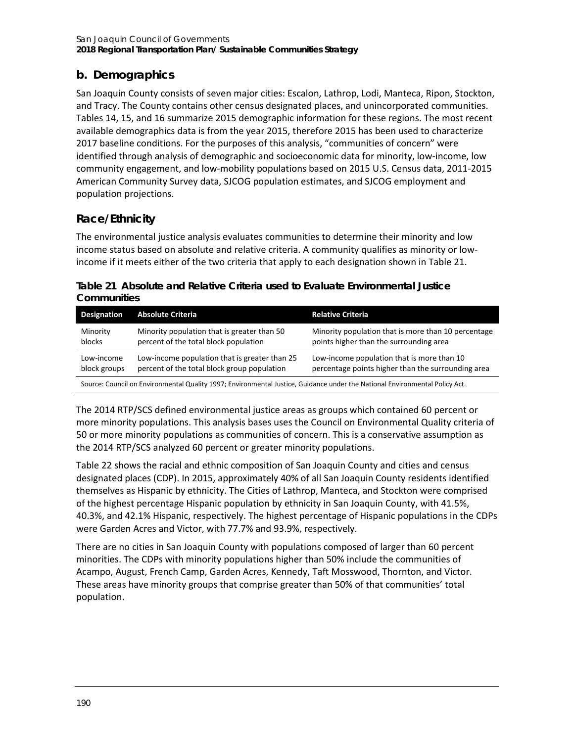# **b. Demographics**

San Joaquin County consists of seven major cities: Escalon, Lathrop, Lodi, Manteca, Ripon, Stockton, and Tracy. The County contains other census designated places, and unincorporated communities. Tables 14, 15, and 16 summarize 2015 demographic information for these regions. The most recent available demographics data is from the year 2015, therefore 2015 has been used to characterize 2017 baseline conditions. For the purposes of this analysis, "communities of concern" were identified through analysis of demographic and socioeconomic data for minority, low-income, low community engagement, and low-mobility populations based on 2015 U.S. Census data, 2011-2015 American Community Survey data, SJCOG population estimates, and SJCOG employment and population projections.

# **Race/Ethnicity**

The environmental justice analysis evaluates communities to determine their minority and low income status based on absolute and relative criteria. A community qualifies as minority or lowincome if it meets either of the two criteria that apply to each designation shown in [Table 21.](#page-1-0)

<span id="page-1-0"></span>**Table 21 Absolute and Relative Criteria used to Evaluate Environmental Justice Communities**

| Designation                                                                                                                 | <b>Absolute Criteria</b>                                                                     | <b>Relative Criteria</b>                                                                         |  |  |  |  |
|-----------------------------------------------------------------------------------------------------------------------------|----------------------------------------------------------------------------------------------|--------------------------------------------------------------------------------------------------|--|--|--|--|
| Minority<br>blocks                                                                                                          | Minority population that is greater than 50<br>percent of the total block population         | Minority population that is more than 10 percentage<br>points higher than the surrounding area   |  |  |  |  |
| Low-income<br>block groups                                                                                                  | Low-income population that is greater than 25<br>percent of the total block group population | Low-income population that is more than 10<br>percentage points higher than the surrounding area |  |  |  |  |
| Source: Council on Environmental Quality 1997; Environmental Justice, Guidance under the National Environmental Policy Act. |                                                                                              |                                                                                                  |  |  |  |  |

The 2014 RTP/SCS defined environmental justice areas as groups which contained 60 percent or more minority populations. This analysis bases uses the Council on Environmental Quality criteria of 50 or more minority populations as communities of concern. This is a conservative assumption as the 2014 RTP/SCS analyzed 60 percent or greater minority populations.

[Table 22](#page-2-0) shows the racial and ethnic composition of San Joaquin County and cities and census designated places (CDP). In 2015, approximately 40% of all San Joaquin County residents identified themselves as Hispanic by ethnicity. The Cities of Lathrop, Manteca, and Stockton were comprised of the highest percentage Hispanic population by ethnicity in San Joaquin County, with 41.5%, 40.3%, and 42.1% Hispanic, respectively. The highest percentage of Hispanic populations in the CDPs were Garden Acres and Victor, with 77.7% and 93.9%, respectively.

There are no cities in San Joaquin County with populations composed of larger than 60 percent minorities. The CDPs with minority populations higher than 50% include the communities of Acampo, August, French Camp, Garden Acres, Kennedy, Taft Mosswood, Thornton, and Victor. These areas have minority groups that comprise greater than 50% of that communities' total population.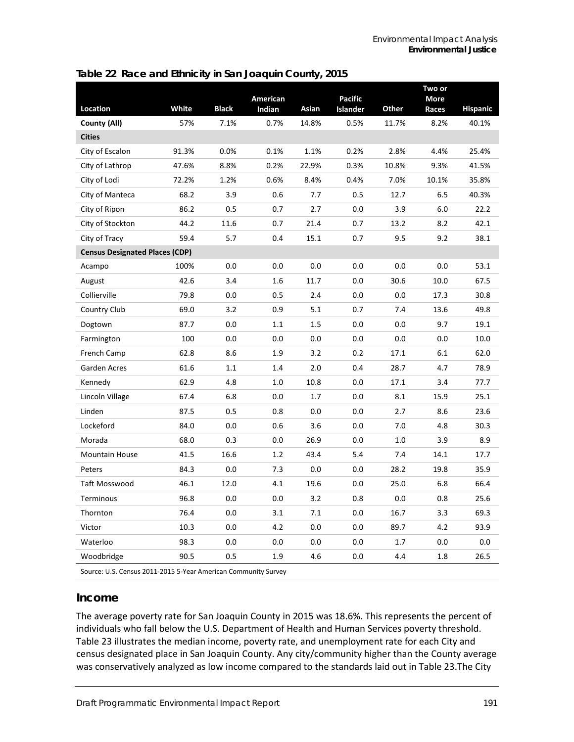#### <span id="page-2-0"></span>**Table 22 Race and Ethnicity in San Joaquin County, 2015**

|                                                     |       |              | American |       | <b>Pacific</b> |       | Two or<br><b>More</b> |                 |
|-----------------------------------------------------|-------|--------------|----------|-------|----------------|-------|-----------------------|-----------------|
| <b>Location</b>                                     | White | <b>Black</b> | Indian   | Asian | Islander       | Other | Races                 | <b>Hispanic</b> |
| County (All)                                        | 57%   | 7.1%         | 0.7%     | 14.8% | 0.5%           | 11.7% | 8.2%                  | 40.1%           |
| <b>Cities</b>                                       |       |              |          |       |                |       |                       |                 |
| City of Escalon                                     | 91.3% | 0.0%         | 0.1%     | 1.1%  | 0.2%           | 2.8%  | 4.4%                  | 25.4%           |
| City of Lathrop                                     | 47.6% | 8.8%         | 0.2%     | 22.9% | 0.3%           | 10.8% | 9.3%                  | 41.5%           |
| City of Lodi                                        | 72.2% | 1.2%         | 0.6%     | 8.4%  | 0.4%           | 7.0%  | 10.1%                 | 35.8%           |
| City of Manteca                                     | 68.2  | 3.9          | 0.6      | 7.7   | 0.5            | 12.7  | 6.5                   | 40.3%           |
| City of Ripon                                       | 86.2  | 0.5          | 0.7      | 2.7   | 0.0            | 3.9   | 6.0                   | 22.2            |
| City of Stockton                                    | 44.2  | 11.6         | 0.7      | 21.4  | 0.7            | 13.2  | 8.2                   | 42.1            |
| City of Tracy                                       | 59.4  | 5.7          | 0.4      | 15.1  | 0.7            | 9.5   | 9.2                   | 38.1            |
| <b>Census Designated Places (CDP)</b>               |       |              |          |       |                |       |                       |                 |
| Acampo                                              | 100%  | 0.0          | 0.0      | 0.0   | 0.0            | 0.0   | 0.0                   | 53.1            |
| August                                              | 42.6  | 3.4          | 1.6      | 11.7  | 0.0            | 30.6  | 10.0                  | 67.5            |
| Collierville                                        | 79.8  | 0.0          | 0.5      | 2.4   | 0.0            | 0.0   | 17.3                  | 30.8            |
| Country Club                                        | 69.0  | 3.2          | 0.9      | 5.1   | 0.7            | 7.4   | 13.6                  | 49.8            |
| Dogtown                                             | 87.7  | 0.0          | 1.1      | 1.5   | 0.0            | 0.0   | 9.7                   | 19.1            |
| Farmington                                          | 100   | 0.0          | 0.0      | 0.0   | 0.0            | 0.0   | $0.0\,$               | 10.0            |
| French Camp                                         | 62.8  | 8.6          | 1.9      | 3.2   | 0.2            | 17.1  | 6.1                   | 62.0            |
| Garden Acres                                        | 61.6  | 1.1          | 1.4      | 2.0   | 0.4            | 28.7  | 4.7                   | 78.9            |
| Kennedy                                             | 62.9  | 4.8          | 1.0      | 10.8  | 0.0            | 17.1  | 3.4                   | 77.7            |
| Lincoln Village                                     | 67.4  | 6.8          | 0.0      | 1.7   | 0.0            | 8.1   | 15.9                  | 25.1            |
| Linden                                              | 87.5  | 0.5          | 0.8      | 0.0   | 0.0            | 2.7   | 8.6                   | 23.6            |
| Lockeford                                           | 84.0  | 0.0          | 0.6      | 3.6   | 0.0            | 7.0   | 4.8                   | 30.3            |
| Morada                                              | 68.0  | 0.3          | 0.0      | 26.9  | 0.0            | 1.0   | 3.9                   | 8.9             |
| <b>Mountain House</b>                               | 41.5  | 16.6         | 1.2      | 43.4  | 5.4            | 7.4   | 14.1                  | 17.7            |
| Peters                                              | 84.3  | 0.0          | 7.3      | 0.0   | 0.0            | 28.2  | 19.8                  | 35.9            |
| Taft Mosswood                                       | 46.1  | 12.0         | 4.1      | 19.6  | 0.0            | 25.0  | 6.8                   | 66.4            |
| Terminous                                           | 96.8  | 0.0          | 0.0      | 3.2   | 0.8            | 0.0   | 0.8                   | 25.6            |
| Thornton                                            | 76.4  | 0.0          | 3.1      | 7.1   | 0.0            | 16.7  | 3.3                   | 69.3            |
| Victor                                              | 10.3  | 0.0          | 4.2      | 0.0   | 0.0            | 89.7  | 4.2                   | 93.9            |
| Waterloo                                            | 98.3  | 0.0          | 0.0      | 0.0   | 0.0            | 1.7   | 0.0                   | 0.0             |
| Woodbridge                                          | 90.5  | 0.5          | 1.9      | 4.6   | 0.0            | 4.4   | 1.8                   | 26.5            |
| $115.$ Course 2011. 2015. E. Vans America<br>$\sim$ |       |              |          |       |                |       |                       |                 |

Source: U.S. Census 2011-2015 5-Year American Community Survey

### **Income**

The average poverty rate for San Joaquin County in 2015 was 18.6%. This represents the percent of individuals who fall below the U.S. Department of Health and Human Services poverty threshold. [Table 23](#page-3-0) illustrates the median income, poverty rate, and unemployment rate for each City and census designated place in San Joaquin County. Any city/community higher than the County average was conservatively analyzed as low income compared to the standards laid out in [Table 23.](#page-3-0)The City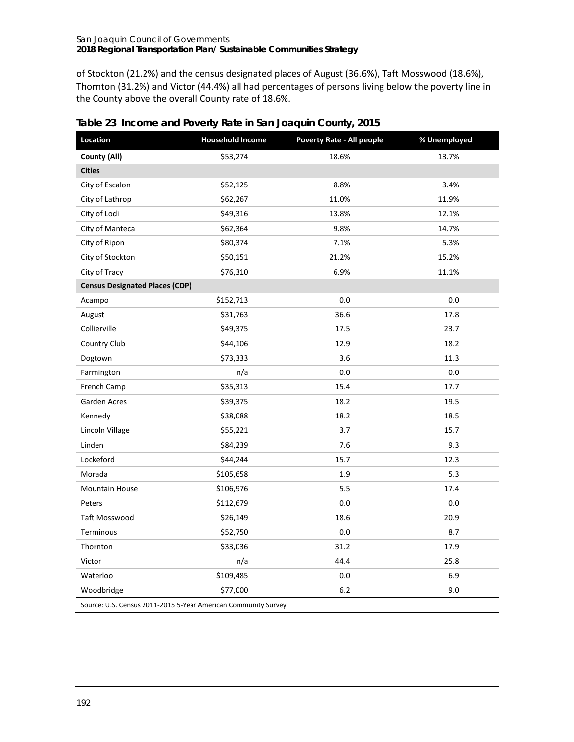of Stockton (21.2%) and the census designated places of August (36.6%), Taft Mosswood (18.6%), Thornton (31.2%) and Victor (44.4%) all had percentages of persons living below the poverty line in the County above the overall County rate of 18.6%.

| Location                              | <b>Household Income</b> | <b>Poverty Rate - All people</b> | % Unemployed |  |  |  |  |
|---------------------------------------|-------------------------|----------------------------------|--------------|--|--|--|--|
| County (All)                          | \$53,274                | 18.6%                            | 13.7%        |  |  |  |  |
| <b>Cities</b>                         |                         |                                  |              |  |  |  |  |
| City of Escalon                       | \$52,125                | 8.8%                             | 3.4%         |  |  |  |  |
| City of Lathrop                       | \$62,267                | 11.0%                            | 11.9%        |  |  |  |  |
| City of Lodi                          | \$49,316                | 13.8%                            | 12.1%        |  |  |  |  |
| City of Manteca                       | \$62,364                | 9.8%                             | 14.7%        |  |  |  |  |
| City of Ripon                         | \$80,374                | 7.1%                             | 5.3%         |  |  |  |  |
| City of Stockton                      | \$50,151                | 21.2%                            | 15.2%        |  |  |  |  |
| City of Tracy                         | \$76,310                | 6.9%                             | 11.1%        |  |  |  |  |
| <b>Census Designated Places (CDP)</b> |                         |                                  |              |  |  |  |  |
| Acampo                                | \$152,713               | 0.0                              | 0.0          |  |  |  |  |
| August                                | \$31,763                | 36.6                             | 17.8         |  |  |  |  |
| Collierville                          | \$49,375                | 17.5                             | 23.7         |  |  |  |  |
| Country Club                          | \$44,106                | 12.9                             | 18.2         |  |  |  |  |
| Dogtown                               | \$73,333                | 3.6                              | 11.3         |  |  |  |  |
| Farmington                            | n/a                     | 0.0                              | 0.0          |  |  |  |  |
| French Camp                           | \$35,313                | 15.4                             | 17.7         |  |  |  |  |
| Garden Acres                          | \$39,375                | 18.2                             | 19.5         |  |  |  |  |
| Kennedy                               | \$38,088                | 18.2                             | 18.5         |  |  |  |  |
| Lincoln Village                       | \$55,221                | 3.7                              | 15.7         |  |  |  |  |
| Linden                                | \$84,239                | 7.6                              | 9.3          |  |  |  |  |
| Lockeford                             | \$44,244                | 15.7                             | 12.3         |  |  |  |  |
| Morada                                | \$105,658               | 1.9                              | 5.3          |  |  |  |  |
| <b>Mountain House</b>                 | \$106,976               | 5.5                              | 17.4         |  |  |  |  |
| Peters                                | \$112,679               | 0.0                              | 0.0          |  |  |  |  |
| <b>Taft Mosswood</b>                  | \$26,149                | 18.6                             | 20.9         |  |  |  |  |
| Terminous                             | \$52,750                | 0.0                              | 8.7          |  |  |  |  |
| Thornton                              | \$33,036                | 31.2                             | 17.9         |  |  |  |  |
| Victor                                | n/a                     | 44.4                             | 25.8         |  |  |  |  |
| Waterloo                              | \$109,485               | 0.0                              | 6.9          |  |  |  |  |
| Woodbridge                            | \$77,000                | 6.2                              | 9.0          |  |  |  |  |

<span id="page-3-0"></span>**Table 23 Income and Poverty Rate in San Joaquin County, 2015**

Source: U.S. Census 2011-2015 5-Year American Community Survey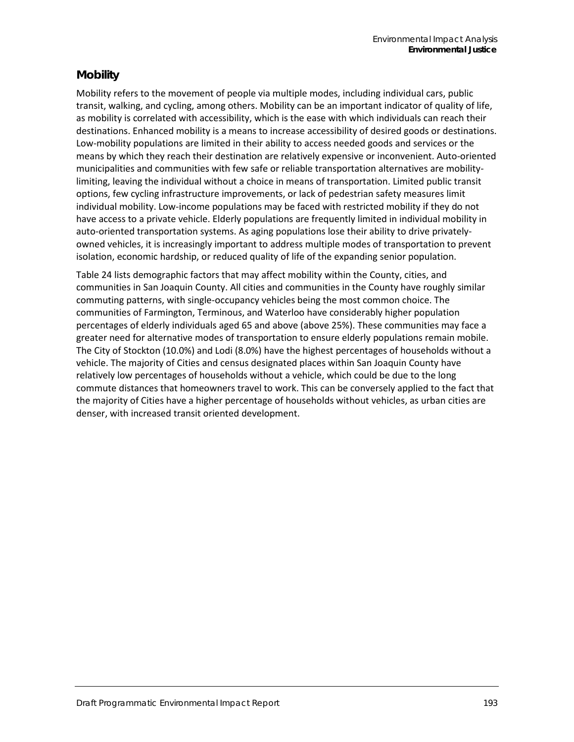## **Mobility**

Mobility refers to the movement of people via multiple modes, including individual cars, public transit, walking, and cycling, among others. Mobility can be an important indicator of quality of life, as mobility is correlated with accessibility, which is the ease with which individuals can reach their destinations. Enhanced mobility is a means to increase accessibility of desired goods or destinations. Low-mobility populations are limited in their ability to access needed goods and services or the means by which they reach their destination are relatively expensive or inconvenient. Auto-oriented municipalities and communities with few safe or reliable transportation alternatives are mobilitylimiting, leaving the individual without a choice in means of transportation. Limited public transit options, few cycling infrastructure improvements, or lack of pedestrian safety measures limit individual mobility. Low-income populations may be faced with restricted mobility if they do not have access to a private vehicle. Elderly populations are frequently limited in individual mobility in auto-oriented transportation systems. As aging populations lose their ability to drive privatelyowned vehicles, it is increasingly important to address multiple modes of transportation to prevent isolation, economic hardship, or reduced quality of life of the expanding senior population.

[Table 24](#page-5-0) lists demographic factors that may affect mobility within the County, cities, and communities in San Joaquin County. All cities and communities in the County have roughly similar commuting patterns, with single-occupancy vehicles being the most common choice. The communities of Farmington, Terminous, and Waterloo have considerably higher population percentages of elderly individuals aged 65 and above (above 25%). These communities may face a greater need for alternative modes of transportation to ensure elderly populations remain mobile. The City of Stockton (10.0%) and Lodi (8.0%) have the highest percentages of households without a vehicle. The majority of Cities and census designated places within San Joaquin County have relatively low percentages of households without a vehicle, which could be due to the long commute distances that homeowners travel to work. This can be conversely applied to the fact that the majority of Cities have a higher percentage of households without vehicles, as urban cities are denser, with increased transit oriented development.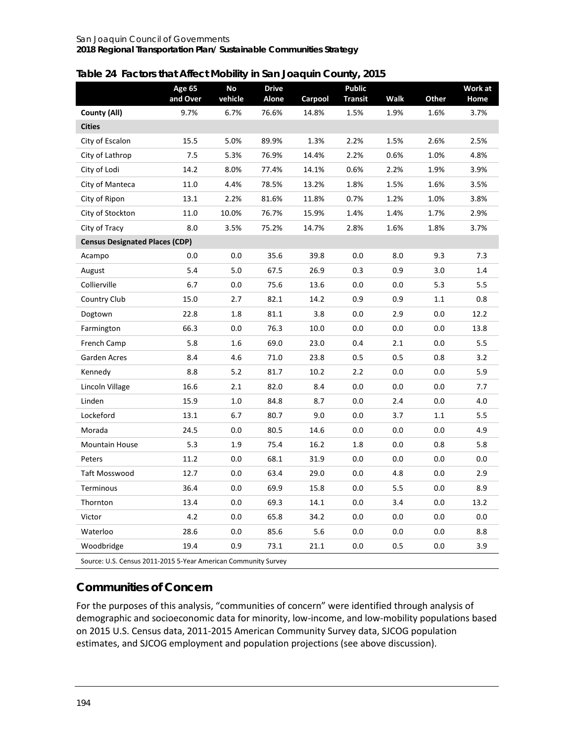### <span id="page-5-0"></span>**Table 24 Factors that Affect Mobility in San Joaquin County, 2015**

|                                                                | Age 65<br>and Over | No<br>vehicle | <b>Drive</b><br>Alone | Carpool | <b>Public</b><br><b>Transit</b> | <b>Walk</b> | Other | Work at<br>Home |
|----------------------------------------------------------------|--------------------|---------------|-----------------------|---------|---------------------------------|-------------|-------|-----------------|
| County (All)                                                   | 9.7%               | 6.7%          | 76.6%                 | 14.8%   | 1.5%                            | 1.9%        | 1.6%  | 3.7%            |
| <b>Cities</b>                                                  |                    |               |                       |         |                                 |             |       |                 |
| City of Escalon                                                | 15.5               | 5.0%          | 89.9%                 | 1.3%    | 2.2%                            | 1.5%        | 2.6%  | 2.5%            |
| City of Lathrop                                                | 7.5                | 5.3%          | 76.9%                 | 14.4%   | 2.2%                            | 0.6%        | 1.0%  | 4.8%            |
| City of Lodi                                                   | 14.2               | 8.0%          | 77.4%                 | 14.1%   | 0.6%                            | 2.2%        | 1.9%  | 3.9%            |
| City of Manteca                                                | 11.0               | 4.4%          | 78.5%                 | 13.2%   | 1.8%                            | 1.5%        | 1.6%  | 3.5%            |
| City of Ripon                                                  | 13.1               | 2.2%          | 81.6%                 | 11.8%   | 0.7%                            | 1.2%        | 1.0%  | 3.8%            |
| City of Stockton                                               | 11.0               | 10.0%         | 76.7%                 | 15.9%   | 1.4%                            | 1.4%        | 1.7%  | 2.9%            |
| City of Tracy                                                  | 8.0                | 3.5%          | 75.2%                 | 14.7%   | 2.8%                            | 1.6%        | 1.8%  | 3.7%            |
| <b>Census Designated Places (CDP)</b>                          |                    |               |                       |         |                                 |             |       |                 |
| Acampo                                                         | 0.0                | 0.0           | 35.6                  | 39.8    | 0.0                             | 8.0         | 9.3   | 7.3             |
| August                                                         | 5.4                | 5.0           | 67.5                  | 26.9    | 0.3                             | 0.9         | 3.0   | 1.4             |
| Collierville                                                   | 6.7                | 0.0           | 75.6                  | 13.6    | 0.0                             | 0.0         | 5.3   | 5.5             |
| Country Club                                                   | 15.0               | 2.7           | 82.1                  | 14.2    | 0.9                             | 0.9         | 1.1   | 0.8             |
| Dogtown                                                        | 22.8               | 1.8           | 81.1                  | 3.8     | 0.0                             | 2.9         | 0.0   | 12.2            |
| Farmington                                                     | 66.3               | 0.0           | 76.3                  | 10.0    | 0.0                             | 0.0         | 0.0   | 13.8            |
| French Camp                                                    | 5.8                | 1.6           | 69.0                  | 23.0    | 0.4                             | 2.1         | 0.0   | 5.5             |
| Garden Acres                                                   | 8.4                | 4.6           | 71.0                  | 23.8    | 0.5                             | 0.5         | 0.8   | 3.2             |
| Kennedy                                                        | 8.8                | 5.2           | 81.7                  | 10.2    | 2.2                             | 0.0         | 0.0   | 5.9             |
| Lincoln Village                                                | 16.6               | 2.1           | 82.0                  | 8.4     | 0.0                             | 0.0         | 0.0   | 7.7             |
| Linden                                                         | 15.9               | 1.0           | 84.8                  | 8.7     | 0.0                             | 2.4         | 0.0   | 4.0             |
| Lockeford                                                      | 13.1               | 6.7           | 80.7                  | 9.0     | 0.0                             | 3.7         | 1.1   | 5.5             |
| Morada                                                         | 24.5               | 0.0           | 80.5                  | 14.6    | 0.0                             | 0.0         | 0.0   | 4.9             |
| <b>Mountain House</b>                                          | 5.3                | 1.9           | 75.4                  | 16.2    | 1.8                             | 0.0         | 0.8   | 5.8             |
| Peters                                                         | 11.2               | 0.0           | 68.1                  | 31.9    | 0.0                             | 0.0         | 0.0   | 0.0             |
| Taft Mosswood                                                  | 12.7               | 0.0           | 63.4                  | 29.0    | 0.0                             | 4.8         | 0.0   | 2.9             |
| Terminous                                                      | 36.4               | 0.0           | 69.9                  | 15.8    | 0.0                             | 5.5         | 0.0   | 8.9             |
| Thornton                                                       | 13.4               | 0.0           | 69.3                  | 14.1    | 0.0                             | 3.4         | 0.0   | 13.2            |
| Victor                                                         | 4.2                | 0.0           | 65.8                  | 34.2    | 0.0                             | 0.0         | 0.0   | 0.0             |
| Waterloo                                                       | 28.6               | 0.0           | 85.6                  | 5.6     | 0.0                             | 0.0         | 0.0   | 8.8             |
| Woodbridge                                                     | 19.4               | 0.9           | 73.1                  | 21.1    | 0.0                             | 0.5         | 0.0   | 3.9             |
| Source: U.S. Census 2011-2015 5-Year American Community Survey |                    |               |                       |         |                                 |             |       |                 |

# **Communities of Concern**

For the purposes of this analysis, "communities of concern" were identified through analysis of demographic and socioeconomic data for minority, low-income, and low-mobility populations based on 2015 U.S. Census data, 2011-2015 American Community Survey data, SJCOG population estimates, and SJCOG employment and population projections (see above discussion).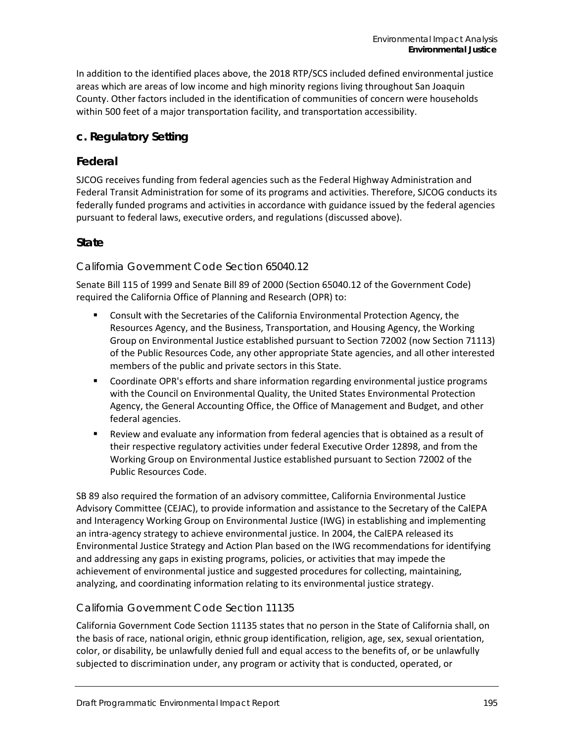In addition to the identified places above, the 2018 RTP/SCS included defined environmental justice areas which are areas of low income and high minority regions living throughout San Joaquin County. Other factors included in the identification of communities of concern were households within 500 feet of a major transportation facility, and transportation accessibility.

## **c. Regulatory Setting**

### **Federal**

SJCOG receives funding from federal agencies such as the Federal Highway Administration and Federal Transit Administration for some of its programs and activities. Therefore, SJCOG conducts its federally funded programs and activities in accordance with guidance issued by the federal agencies pursuant to federal laws, executive orders, and regulations (discussed above).

### **State**

#### *California Government Code Section 65040.12*

Senate Bill 115 of 1999 and Senate Bill 89 of 2000 (Section 65040.12 of the Government Code) required the California Office of Planning and Research (OPR) to:

- Consult with the Secretaries of the California Environmental Protection Agency, the Resources Agency, and the Business, Transportation, and Housing Agency, the Working Group on Environmental Justice established pursuant to Section 72002 (now Section 71113) of the Public Resources Code, any other appropriate State agencies, and all other interested members of the public and private sectors in this State.
- Coordinate OPR's efforts and share information regarding environmental justice programs with the Council on Environmental Quality, the United States Environmental Protection Agency, the General Accounting Office, the Office of Management and Budget, and other federal agencies.
- Review and evaluate any information from federal agencies that is obtained as a result of their respective regulatory activities under federal Executive Order 12898, and from the Working Group on Environmental Justice established pursuant to Section 72002 of the Public Resources Code.

SB 89 also required the formation of an advisory committee, California Environmental Justice Advisory Committee (CEJAC), to provide information and assistance to the Secretary of the CalEPA and Interagency Working Group on Environmental Justice (IWG) in establishing and implementing an intra-agency strategy to achieve environmental justice. In 2004, the CalEPA released its Environmental Justice Strategy and Action Plan based on the IWG recommendations for identifying and addressing any gaps in existing programs, policies, or activities that may impede the achievement of environmental justice and suggested procedures for collecting, maintaining, analyzing, and coordinating information relating to its environmental justice strategy.

### *California Government Code Section 11135*

California Government Code Section 11135 states that no person in the State of California shall, on the basis of race, national origin, ethnic group identification, religion, age, sex, sexual orientation, color, or disability, be unlawfully denied full and equal access to the benefits of, or be unlawfully subjected to discrimination under, any program or activity that is conducted, operated, or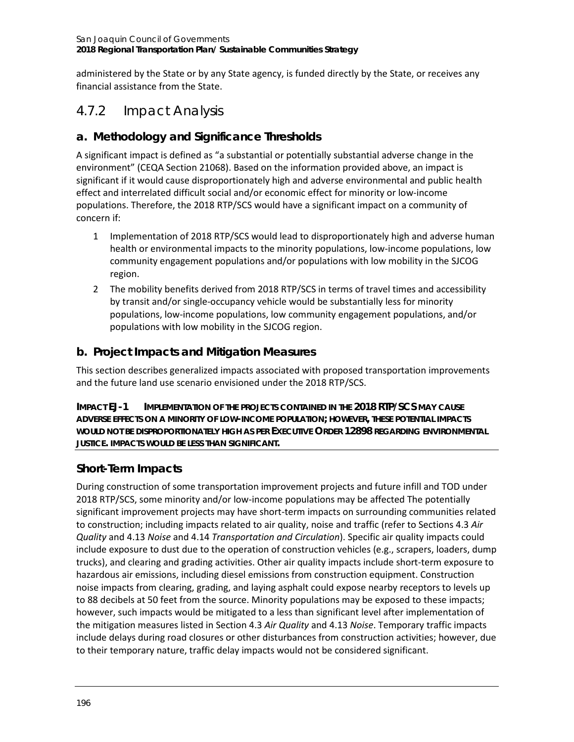administered by the State or by any State agency, is funded directly by the State, or receives any financial assistance from the State.

# 4.7.2 Impact Analysis

## **a. Methodology and Significance Thresholds**

A significant impact is defined as "a substantial or potentially substantial adverse change in the environment" (CEQA Section 21068). Based on the information provided above, an impact is significant if it would cause disproportionately high and adverse environmental and public health effect and interrelated difficult social and/or economic effect for minority or low-income populations. Therefore, the 2018 RTP/SCS would have a significant impact on a community of concern if:

- 1 Implementation of 2018 RTP/SCS would lead to disproportionately high and adverse human health or environmental impacts to the minority populations, low-income populations, low community engagement populations and/or populations with low mobility in the SJCOG region.
- 2 The mobility benefits derived from 2018 RTP/SCS in terms of travel times and accessibility by transit and/or single-occupancy vehicle would be substantially less for minority populations, low-income populations, low community engagement populations, and/or populations with low mobility in the SJCOG region.

## **b. Project Impacts and Mitigation Measures**

This section describes generalized impacts associated with proposed transportation improvements and the future land use scenario envisioned under the 2018 RTP/SCS.

**IMPACT EJ-1 IMPLEMENTATION OF THE PROJECTS CONTAINED IN THE 2018 RTP/SCS MAY CAUSE ADVERSE EFFECTS ON A MINORITY OF LOW-INCOME POPULATION; HOWEVER, THESE POTENTIAL IMPACTS WOULD NOT BE DISPROPORTIONATELY HIGH AS PER EXECUTIVE ORDER 12898 REGARDING ENVIRONMENTAL JUSTICE. IMPACTS WOULD BE LESS THAN SIGNIFICANT.**

# **Short-Term Impacts**

During construction of some transportation improvement projects and future infill and TOD under 2018 RTP/SCS, some minority and/or low-income populations may be affected The potentially significant improvement projects may have short-term impacts on surrounding communities related to construction; including impacts related to air quality, noise and traffic (refer to Sections 4.3 *Air Quality* and 4.13 *Noise* and 4.14 *Transportation and Circulation*). Specific air quality impacts could include exposure to dust due to the operation of construction vehicles (e.g., scrapers, loaders, dump trucks), and clearing and grading activities. Other air quality impacts include short-term exposure to hazardous air emissions, including diesel emissions from construction equipment. Construction noise impacts from clearing, grading, and laying asphalt could expose nearby receptors to levels up to 88 decibels at 50 feet from the source. Minority populations may be exposed to these impacts; however, such impacts would be mitigated to a less than significant level after implementation of the mitigation measures listed in Section 4.3 *Air Quality* and 4.13 *Noise*. Temporary traffic impacts include delays during road closures or other disturbances from construction activities; however, due to their temporary nature, traffic delay impacts would not be considered significant.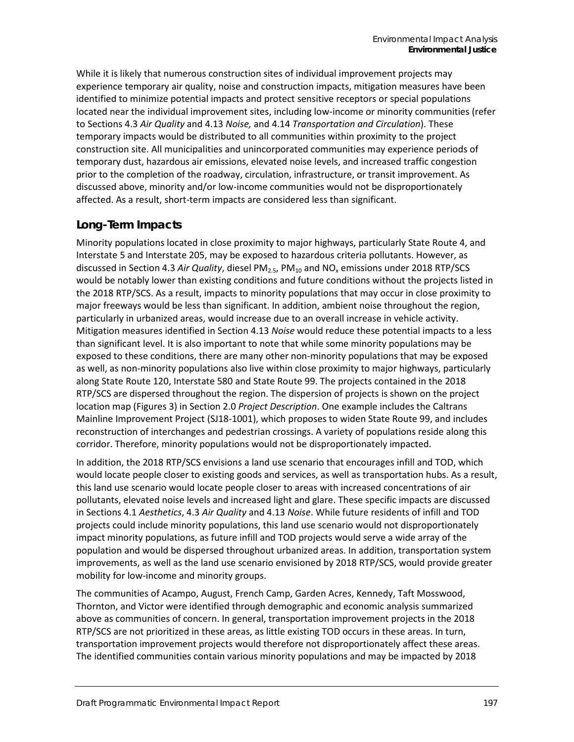While it is likely that numerous construction sites of individual improvement projects may experience temporary air quality, noise and construction impacts, mitigation measures have been identified to minimize potential impacts and protect sensitive receptors or special populations located near the individual improvement sites, including low-income or minority communities (refer to Sections 4.3 *Air Quality* and 4.13 *Noise,* and 4.14 *Transportation and Circulation*). These temporary impacts would be distributed to all communities within proximity to the project construction site. All municipalities and unincorporated communities may experience periods of temporary dust, hazardous air emissions, elevated noise levels, and increased traffic congestion prior to the completion of the roadway, circulation, infrastructure, or transit improvement. As discussed above, minority and/or low-income communities would not be disproportionately affected. As a result, short-term impacts are considered less than significant.

## **Long-Term Impacts**

Minority populations located in close proximity to major highways, particularly State Route 4, and Interstate 5 and Interstate 205, may be exposed to hazardous criteria pollutants. However, as discussed in Section 4.3 *Air Quality*, diesel PM<sub>2.5</sub>, PM<sub>10</sub> and NO<sub>x</sub> emissions under 2018 RTP/SCS would be notably lower than existing conditions and future conditions without the projects listed in the 2018 RTP/SCS. As a result, impacts to minority populations that may occur in close proximity to major freeways would be less than significant. In addition, ambient noise throughout the region, particularly in urbanized areas, would increase due to an overall increase in vehicle activity. Mitigation measures identified in Section 4.13 *Noise* would reduce these potential impacts to a less than significant level. It is also important to note that while some minority populations may be exposed to these conditions, there are many other non-minority populations that may be exposed as well, as non-minority populations also live within close proximity to major highways, particularly along State Route 120, Interstate 580 and State Route 99. The projects contained in the 2018 RTP/SCS are dispersed throughout the region. The dispersion of projects is shown on the project location map (Figures 3) in Section 2.0 *Project Description*. One example includes the Caltrans Mainline Improvement Project (SJ18-1001), which proposes to widen State Route 99, and includes reconstruction of interchanges and pedestrian crossings. A variety of populations reside along this corridor. Therefore, minority populations would not be disproportionately impacted.

In addition, the 2018 RTP/SCS envisions a land use scenario that encourages infill and TOD, which would locate people closer to existing goods and services, as well as transportation hubs. As a result, this land use scenario would locate people closer to areas with increased concentrations of air pollutants, elevated noise levels and increased light and glare. These specific impacts are discussed in Sections 4.1 *Aesthetics*, 4.3 *Air Quality* and 4.13 *Noise*. While future residents of infill and TOD projects could include minority populations, this land use scenario would not disproportionately impact minority populations, as future infill and TOD projects would serve a wide array of the population and would be dispersed throughout urbanized areas. In addition, transportation system improvements, as well as the land use scenario envisioned by 2018 RTP/SCS, would provide greater mobility for low-income and minority groups.

The communities of Acampo, August, French Camp, Garden Acres, Kennedy, Taft Mosswood, Thornton, and Victor were identified through demographic and economic analysis summarized above as communities of concern. In general, transportation improvement projects in the 2018 RTP/SCS are not prioritized in these areas, as little existing TOD occurs in these areas. In turn, transportation improvement projects would therefore not disproportionately affect these areas. The identified communities contain various minority populations and may be impacted by 2018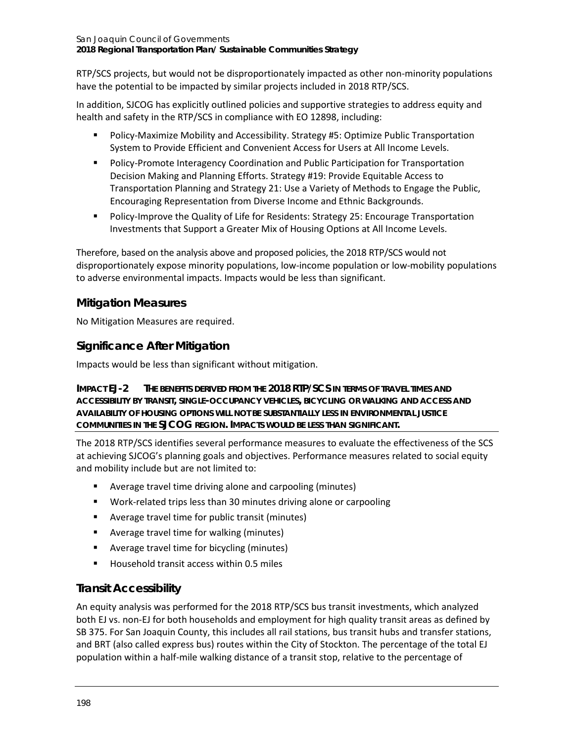RTP/SCS projects, but would not be disproportionately impacted as other non-minority populations have the potential to be impacted by similar projects included in 2018 RTP/SCS.

In addition, SJCOG has explicitly outlined policies and supportive strategies to address equity and health and safety in the RTP/SCS in compliance with EO 12898, including:

- Policy-Maximize Mobility and Accessibility. Strategy #5: Optimize Public Transportation System to Provide Efficient and Convenient Access for Users at All Income Levels.
- **Policy-Promote Interagency Coordination and Public Participation for Transportation** Decision Making and Planning Efforts. Strategy #19: Provide Equitable Access to Transportation Planning and Strategy 21: Use a Variety of Methods to Engage the Public, Encouraging Representation from Diverse Income and Ethnic Backgrounds.
- **Policy-Improve the Quality of Life for Residents: Strategy 25: Encourage Transportation** Investments that Support a Greater Mix of Housing Options at All Income Levels.

Therefore, based on the analysis above and proposed policies, the 2018 RTP/SCS would not disproportionately expose minority populations, low-income population or low-mobility populations to adverse environmental impacts. Impacts would be less than significant.

## **Mitigation Measures**

No Mitigation Measures are required.

## **Significance After Mitigation**

Impacts would be less than significant without mitigation.

**IMPACT EJ-2 THE BENEFITS DERIVED FROM THE 2018 RTP/SCS IN TERMS OF TRAVEL TIMES AND ACCESSIBILITY BY TRANSIT, SINGLE-OCCUPANCY VEHICLES, BICYCLING OR WALKING AND ACCESS AND AVAILABILITY OF HOUSING OPTIONS WILL NOT BE SUBSTANTIALLY LESS IN ENVIRONMENTAL JUSTICE COMMUNITIES IN THE SJCOG REGION. IMPACTS WOULD BE LESS THAN SIGNIFICANT.**

The 2018 RTP/SCS identifies several performance measures to evaluate the effectiveness of the SCS at achieving SJCOG's planning goals and objectives. Performance measures related to social equity and mobility include but are not limited to:

- Average travel time driving alone and carpooling (minutes)
- Work-related trips less than 30 minutes driving alone or carpooling
- Average travel time for public transit (minutes)
- Average travel time for walking (minutes)
- Average travel time for bicycling (minutes)
- Household transit access within 0.5 miles

### **Transit Accessibility**

An equity analysis was performed for the 2018 RTP/SCS bus transit investments, which analyzed both EJ vs. non-EJ for both households and employment for high quality transit areas as defined by SB 375. For San Joaquin County, this includes all rail stations, bus transit hubs and transfer stations, and BRT (also called express bus) routes within the City of Stockton. The percentage of the total EJ population within a half-mile walking distance of a transit stop, relative to the percentage of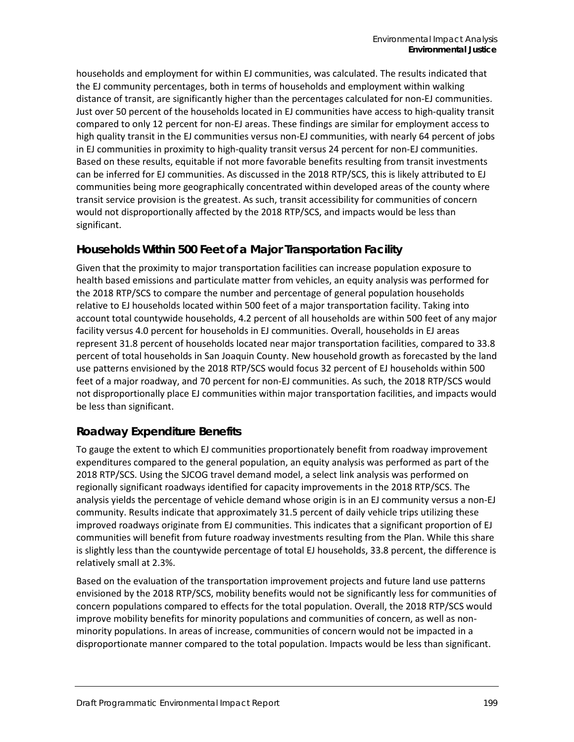households and employment for within EJ communities, was calculated. The results indicated that the EJ community percentages, both in terms of households and employment within walking distance of transit, are significantly higher than the percentages calculated for non-EJ communities. Just over 50 percent of the households located in EJ communities have access to high-quality transit compared to only 12 percent for non-EJ areas. These findings are similar for employment access to high quality transit in the EJ communities versus non-EJ communities, with nearly 64 percent of jobs in EJ communities in proximity to high-quality transit versus 24 percent for non-EJ communities. Based on these results, equitable if not more favorable benefits resulting from transit investments can be inferred for EJ communities. As discussed in the 2018 RTP/SCS, this is likely attributed to EJ communities being more geographically concentrated within developed areas of the county where transit service provision is the greatest. As such, transit accessibility for communities of concern would not disproportionally affected by the 2018 RTP/SCS, and impacts would be less than significant.

### **Households Within 500 Feet of a Major Transportation Facility**

Given that the proximity to major transportation facilities can increase population exposure to health based emissions and particulate matter from vehicles, an equity analysis was performed for the 2018 RTP/SCS to compare the number and percentage of general population households relative to EJ households located within 500 feet of a major transportation facility. Taking into account total countywide households, 4.2 percent of all households are within 500 feet of any major facility versus 4.0 percent for households in EJ communities. Overall, households in EJ areas represent 31.8 percent of households located near major transportation facilities, compared to 33.8 percent of total households in San Joaquin County. New household growth as forecasted by the land use patterns envisioned by the 2018 RTP/SCS would focus 32 percent of EJ households within 500 feet of a major roadway, and 70 percent for non-EJ communities. As such, the 2018 RTP/SCS would not disproportionally place EJ communities within major transportation facilities, and impacts would be less than significant.

### **Roadway Expenditure Benefits**

To gauge the extent to which EJ communities proportionately benefit from roadway improvement expenditures compared to the general population, an equity analysis was performed as part of the 2018 RTP/SCS. Using the SJCOG travel demand model, a select link analysis was performed on regionally significant roadways identified for capacity improvements in the 2018 RTP/SCS. The analysis yields the percentage of vehicle demand whose origin is in an EJ community versus a non-EJ community. Results indicate that approximately 31.5 percent of daily vehicle trips utilizing these improved roadways originate from EJ communities. This indicates that a significant proportion of EJ communities will benefit from future roadway investments resulting from the Plan. While this share is slightly less than the countywide percentage of total EJ households, 33.8 percent, the difference is relatively small at 2.3%.

Based on the evaluation of the transportation improvement projects and future land use patterns envisioned by the 2018 RTP/SCS, mobility benefits would not be significantly less for communities of concern populations compared to effects for the total population. Overall, the 2018 RTP/SCS would improve mobility benefits for minority populations and communities of concern, as well as nonminority populations. In areas of increase, communities of concern would not be impacted in a disproportionate manner compared to the total population. Impacts would be less than significant.